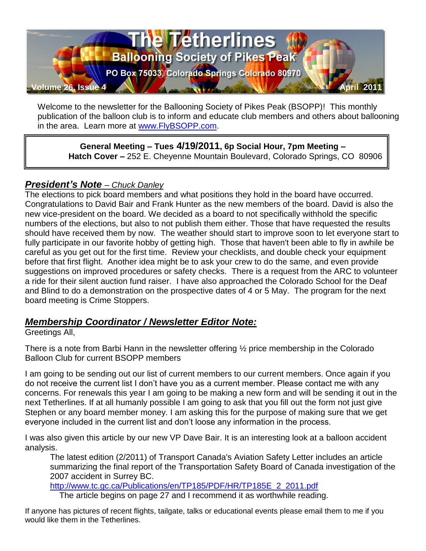

Welcome to the newsletter for the Ballooning Society of Pikes Peak (BSOPP)! This monthly publication of the balloon club is to inform and educate club members and others about ballooning in the area. Learn more at [www.FlyBSOPP.com.](http://www.flybsopp.com/)

**General Meeting – Tues 4/19/2011, 6p Social Hour, 7pm Meeting – Hatch Cover –** 252 E. Cheyenne Mountain Boulevard, Colorado Springs, CO 80906

### *President's Note – Chuck Danley*

The elections to pick board members and what positions they hold in the board have occurred. Congratulations to David Bair and Frank Hunter as the new members of the board. David is also the new vice-president on the board. We decided as a board to not specifically withhold the specific numbers of the elections, but also to not publish them either. Those that have requested the results should have received them by now. The weather should start to improve soon to let everyone start to fully participate in our favorite hobby of getting high. Those that haven't been able to fly in awhile be careful as you get out for the first time. Review your checklists, and double check your equipment before that first flight. Another idea might be to ask your crew to do the same, and even provide suggestions on improved procedures or safety checks. There is a request from the ARC to volunteer a ride for their silent auction fund raiser. I have also approached the Colorado School for the Deaf and Blind to do a demonstration on the prospective dates of 4 or 5 May. The program for the next board meeting is Crime Stoppers.

#### *Membership Coordinator / Newsletter Editor Note:*

Greetings All,

There is a note from Barbi Hann in the newsletter offering ½ price membership in the Colorado Balloon Club for current BSOPP members

I am going to be sending out our list of current members to our current members. Once again if you do not receive the current list I don"t have you as a current member. Please contact me with any concerns. For renewals this year I am going to be making a new form and will be sending it out in the next Tetherlines. If at all humanly possible I am going to ask that you fill out the form not just give Stephen or any board member money. I am asking this for the purpose of making sure that we get everyone included in the current list and don"t loose any information in the process.

I was also given this article by our new VP Dave Bair. It is an interesting look at a balloon accident analysis.

The latest edition (2/2011) of Transport Canada's Aviation Safety Letter includes an article summarizing the final report of the Transportation Safety Board of Canada investigation of the 2007 accident in Surrey BC.

[http://www.tc.gc.ca/Publications/en/TP185/PDF/HR/TP185E\\_2\\_2011.pdf](http://www.tc.gc.ca/Publications/en/TP185/PDF/HR/TP185E_2_2011.pdf)

The article begins on page 27 and I recommend it as worthwhile reading.

If anyone has pictures of recent flights, tailgate, talks or educational events please email them to me if you would like them in the Tetherlines.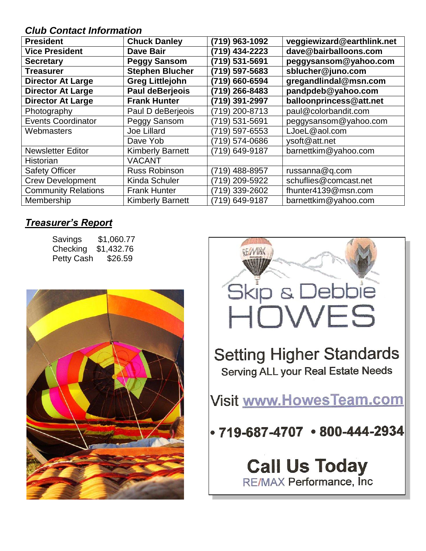### *Club Contact Information*

| <b>President</b>           | <b>Chuck Danley</b>     | (719) 963-1092 | veggiewizard@earthlink.net |
|----------------------------|-------------------------|----------------|----------------------------|
| <b>Vice President</b>      | <b>Dave Bair</b>        | (719) 434-2223 | dave@bairballoons.com      |
| <b>Secretary</b>           | <b>Peggy Sansom</b>     | (719) 531-5691 | peggysansom@yahoo.com      |
| <b>Treasurer</b>           | <b>Stephen Blucher</b>  | (719) 597-5683 | sblucher@juno.com          |
| <b>Director At Large</b>   | <b>Greg Littlejohn</b>  | (719) 660-6594 | gregandlindal@msn.com      |
| <b>Director At Large</b>   | <b>Paul deBerjeois</b>  | (719) 266-8483 | pandpdeb@yahoo.com         |
| <b>Director At Large</b>   | <b>Frank Hunter</b>     | (719) 391-2997 | balloonprincess@att.net    |
| Photography                | Paul D deBerjeois       | (719) 200-8713 | paul@colorbandit.com       |
| <b>Events Coordinator</b>  | Peggy Sansom            | (719) 531-5691 | peggysansom@yahoo.com      |
| Webmasters                 | Joe Lillard             | (719) 597-6553 | LJoeL@aol.com              |
|                            | Dave Yob                | (719) 574-0686 | ysoft@att.net              |
| <b>Newsletter Editor</b>   | <b>Kimberly Barnett</b> | (719) 649-9187 | barnettkim@yahoo.com       |
| Historian                  | <b>VACANT</b>           |                |                            |
| <b>Safety Officer</b>      | Russ Robinson           | (719) 488-8957 | russanna@q.com             |
| <b>Crew Development</b>    | <b>Kinda Schuler</b>    | (719) 209-5922 | schuflies@comcast.net      |
| <b>Community Relations</b> | <b>Frank Hunter</b>     | (719) 339-2602 | fhunter4139@msn.com        |
| Membership                 | <b>Kimberly Barnett</b> | (719) 649-9187 | barnettkim@yahoo.com       |

### *Treasurer's Report*

| Savings    | \$1,060.77 |
|------------|------------|
| Checking   | \$1,432.76 |
| Petty Cash | \$26.59    |



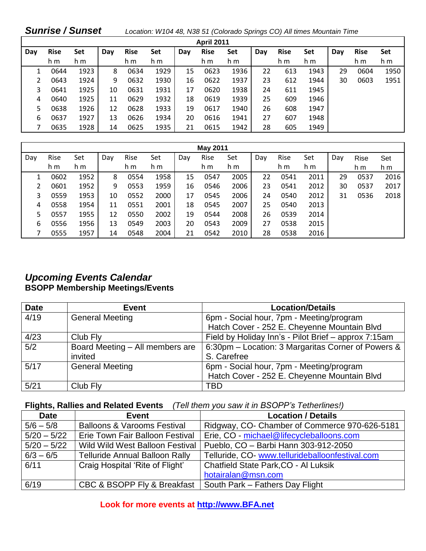| <b>Sunrise / Sunset</b> |                   |      |     |             | Location: W104 48, N38 51 (Colorado Springs CO) All times Mountain Time |     |             |      |     |             |      |     |             |      |
|-------------------------|-------------------|------|-----|-------------|-------------------------------------------------------------------------|-----|-------------|------|-----|-------------|------|-----|-------------|------|
|                         | <b>April 2011</b> |      |     |             |                                                                         |     |             |      |     |             |      |     |             |      |
| Day                     | <b>Rise</b>       | Set  | Day | <b>Rise</b> | Set                                                                     | Day | <b>Rise</b> | Set  | Day | <b>Rise</b> | Set  | Day | <b>Rise</b> | Set  |
|                         | h m               | h m  |     | h m         | h m                                                                     |     | h m         | h m  |     | h m         | h m  |     | h m         | h m  |
|                         | 0644              | 1923 | 8   | 0634        | 1929                                                                    | 15  | 0623        | 1936 | 22  | 613         | 1943 | 29  | 0604        | 1950 |
| 2                       | 0643              | 1924 | 9   | 0632        | 1930                                                                    | 16  | 0622        | 1937 | 23  | 612         | 1944 | 30  | 0603        | 1951 |
| 3                       | 0641              | 1925 | 10  | 0631        | 1931                                                                    | 17  | 0620        | 1938 | 24  | 611         | 1945 |     |             |      |
| 4                       | 0640              | 1925 | 11  | 0629        | 1932                                                                    | 18  | 0619        | 1939 | 25  | 609         | 1946 |     |             |      |
| 5                       | 0638              | 1926 | 12  | 0628        | 1933                                                                    | 19  | 0617        | 1940 | 26  | 608         | 1947 |     |             |      |
| 6                       | 0637              | 1927 | 13  | 0626        | 1934                                                                    | 20  | 0616        | 1941 | 27  | 607         | 1948 |     |             |      |
|                         | 0635              | 1928 | 14  | 0625        | 1935                                                                    | 21  | 0615        | 1942 | 28  | 605         | 1949 |     |             |      |

| <b>May 2011</b> |      |      |     |      |      |     |      |      |     |      |      |     |      |      |
|-----------------|------|------|-----|------|------|-----|------|------|-----|------|------|-----|------|------|
| Day             | Rise | Set  | Dav | Rise | Set  | Day | Rise | Set  | Day | Rise | Set  | Day | Rise | Set  |
|                 | h m  | h m  |     | h m  | h m  |     | h m  | h m  |     | h m  | h m  |     | h m  | h m  |
|                 | 0602 | 1952 | 8   | 0554 | 1958 | 15  | 0547 | 2005 | 22  | 0541 | 2011 | 29  | 0537 | 2016 |
| 2               | 0601 | 1952 | 9   | 0553 | 1959 | 16  | 0546 | 2006 | 23  | 0541 | 2012 | 30  | 0537 | 2017 |
| 3               | 0559 | 1953 | 10  | 0552 | 2000 | 17  | 0545 | 2006 | 24  | 0540 | 2012 | 31  | 0536 | 2018 |
| 4               | 0558 | 1954 | 11  | 0551 | 2001 | 18  | 0545 | 2007 | 25  | 0540 | 2013 |     |      |      |
| 5               | 0557 | 1955 | 12  | 0550 | 2002 | 19  | 0544 | 2008 | 26  | 0539 | 2014 |     |      |      |
| 6               | 0556 | 1956 | 13  | 0549 | 2003 | 20  | 0543 | 2009 | 27  | 0538 | 2015 |     |      |      |
|                 | 0555 | 1957 | 14  | 0548 | 2004 | 21  | 0542 | 2010 | 28  | 0538 | 2016 |     |      |      |

### *Upcoming Events Calendar* **BSOPP Membership Meetings/Events**

| <b>Date</b> | <b>Event</b>                    | <b>Location/Details</b>                              |
|-------------|---------------------------------|------------------------------------------------------|
| 4/19        | <b>General Meeting</b>          | 6pm - Social hour, 7pm - Meeting/program             |
|             |                                 | Hatch Cover - 252 E. Cheyenne Mountain Blvd          |
| 4/23        | Club Fly                        | Field by Holiday Inn's - Pilot Brief - approx 7:15am |
| 5/2         | Board Meeting - All members are | 6:30pm – Location: 3 Margaritas Corner of Powers &   |
|             | invited                         | S. Carefree                                          |
| 5/17        | <b>General Meeting</b>          | 6pm - Social hour, 7pm - Meeting/program             |
|             |                                 | Hatch Cover - 252 E. Cheyenne Mountain Blvd          |
| 5/21        | Club Fly                        | <b>TBD</b>                                           |

#### **Flights, Rallies and Related Events** *(Tell them you saw it in BSOPP's Tetherlines!)*

| <b>Date</b>   | Event                                  | <b>Location / Details</b>                       |
|---------------|----------------------------------------|-------------------------------------------------|
| $5/6 - 5/8$   | <b>Balloons &amp; Varooms Festival</b> | Ridgway, CO- Chamber of Commerce 970-626-5181   |
| $5/20 - 5/22$ | Erie Town Fair Balloon Festival        | Erie, CO - michael@lifecycleballoons.com        |
| $5/20 - 5/22$ | <b>Wild Wild West Balloon Festival</b> | Pueblo, CO - Barbi Hann 303-912-2050            |
| $6/3 - 6/5$   | <b>Telluride Annual Balloon Rally</b>  | Telluride, CO- www.tellurideballoonfestival.com |
| 6/11          | Craig Hospital 'Rite of Flight'        | Chatfield State Park, CO - Al Luksik            |
|               |                                        | hotairalan@msn.com                              |
| 6/19          | CBC & BSOPP Fly & Breakfast            | South Park - Fathers Day Flight                 |

### **Look for more events at [http://www.BFA.net](http://www.bfa.net/)**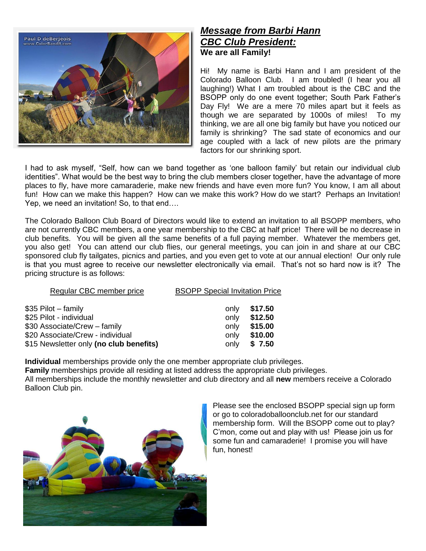

#### *Message from Barbi Hann CBC Club President:* **We are all Family!**

Hi! My name is Barbi Hann and I am president of the Colorado Balloon Club. I am troubled! (I hear you all laughing!) What I am troubled about is the CBC and the BSOPP only do one event together; South Park Father"s Day Fly! We are a mere 70 miles apart but it feels as though we are separated by 1000s of miles! To my thinking, we are all one big family but have you noticed our family is shrinking? The sad state of economics and our age coupled with a lack of new pilots are the primary factors for our shrinking sport.

I had to ask myself, "Self, how can we band together as 'one balloon family' but retain our individual club identities". What would be the best way to bring the club members closer together, have the advantage of more places to fly, have more camaraderie, make new friends and have even more fun? You know, I am all about fun! How can we make this happen? How can we make this work? How do we start? Perhaps an Invitation! Yep, we need an invitation! So, to that end….

The Colorado Balloon Club Board of Directors would like to extend an invitation to all BSOPP members, who are not currently CBC members, a one year membership to the CBC at half price! There will be no decrease in club benefits. You will be given all the same benefits of a full paying member. Whatever the members get, you also get! You can attend our club flies, our general meetings, you can join in and share at our CBC sponsored club fly tailgates, picnics and parties, and you even get to vote at our annual election! Our only rule is that you must agree to receive our newsletter electronically via email. That"s not so hard now is it? The pricing structure is as follows:

| Regular CBC member price                | <b>BSOPP Special Invitation Price</b> |         |  |
|-----------------------------------------|---------------------------------------|---------|--|
| \$35 Pilot – family                     | only                                  | \$17.50 |  |
| \$25 Pilot - individual                 | only                                  | \$12.50 |  |
| \$30 Associate/Crew - family            | only                                  | \$15.00 |  |
| \$20 Associate/Crew - individual        | only                                  | \$10.00 |  |
| \$15 Newsletter only (no club benefits) | only                                  | \$7.50  |  |
|                                         |                                       |         |  |

**Individual** memberships provide only the one member appropriate club privileges.

**Family** memberships provide all residing at listed address the appropriate club privileges.

All memberships include the monthly newsletter and club directory and all **new** members receive a Colorado Balloon Club pin.



Please see the enclosed BSOPP special sign up form or go to coloradoballoonclub.net for our standard membership form. Will the BSOPP come out to play? C"mon, come out and play with us! Please join us for some fun and camaraderie! I promise you will have fun, honest!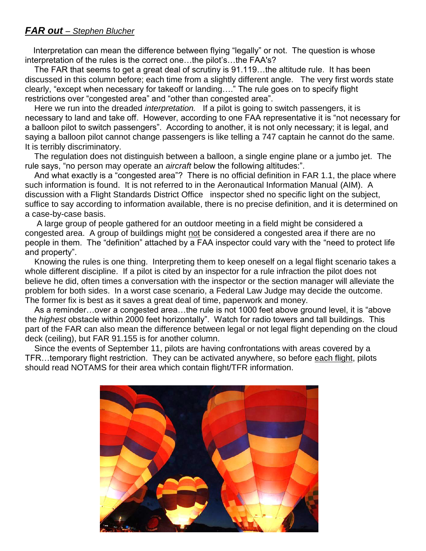#### *FAR out – Stephen Blucher*

 Interpretation can mean the difference between flying "legally" or not. The question is whose interpretation of the rules is the correct one...the pilot's...the FAA's?

 The FAR that seems to get a great deal of scrutiny is 91.119…the altitude rule. It has been discussed in this column before; each time from a slightly different angle. The very first words state clearly, "except when necessary for takeoff or landing…." The rule goes on to specify flight restrictions over "congested area" and "other than congested area".

 Here we run into the dreaded *interpretation.* If a pilot is going to switch passengers, it is necessary to land and take off. However, according to one FAA representative it is "not necessary for a balloon pilot to switch passengers". According to another, it is not only necessary; it is legal, and saying a balloon pilot cannot change passengers is like telling a 747 captain he cannot do the same. It is terribly discriminatory.

 The regulation does not distinguish between a balloon, a single engine plane or a jumbo jet. The rule says, "no person may operate an *aircraft* below the following altitudes:".

 And what exactly is a "congested area"? There is no official definition in FAR 1.1, the place where such information is found. It is not referred to in the Aeronautical Information Manual (AIM). A discussion with a Flight Standards District Office inspector shed no specific light on the subject, suffice to say according to information available, there is no precise definition, and it is determined on a case-by-case basis.

 A large group of people gathered for an outdoor meeting in a field might be considered a congested area. A group of buildings might not be considered a congested area if there are no people in them. The "definition" attached by a FAA inspector could vary with the "need to protect life and property".

 Knowing the rules is one thing. Interpreting them to keep oneself on a legal flight scenario takes a whole different discipline. If a pilot is cited by an inspector for a rule infraction the pilot does not believe he did, often times a conversation with the inspector or the section manager will alleviate the problem for both sides. In a worst case scenario, a Federal Law Judge may decide the outcome. The former fix is best as it saves a great deal of time, paperwork and money.

 As a reminder…over a congested area…the rule is not 1000 feet above ground level, it is "above the *highest* obstacle within 2000 feet horizontally". Watch for radio towers and tall buildings. This part of the FAR can also mean the difference between legal or not legal flight depending on the cloud deck (ceiling), but FAR 91.155 is for another column.

 Since the events of September 11, pilots are having confrontations with areas covered by a TFR…temporary flight restriction. They can be activated anywhere, so before each flight, pilots should read NOTAMS for their area which contain flight/TFR information.

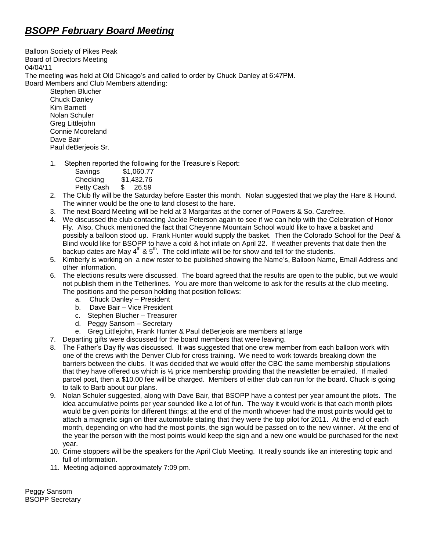## *BSOPP February Board Meeting*

Balloon Society of Pikes Peak Board of Directors Meeting 04/04/11 The meeting was held at Old Chicago"s and called to order by Chuck Danley at 6:47PM. Board Members and Club Members attending:

Stephen Blucher Chuck Danley Kim Barnett Nolan Schuler Greg Littlejohn Connie Mooreland Dave Bair Paul deBerjeois Sr.

1. Stephen reported the following for the Treasure's Report:

| Savings    | \$1,060.77 |
|------------|------------|
| Checking   | \$1,432.76 |
| Petty Cash | \$ 26.59   |

- 2. The Club fly will be the Saturday before Easter this month. Nolan suggested that we play the Hare & Hound. The winner would be the one to land closest to the hare.
- 3. The next Board Meeting will be held at 3 Margaritas at the corner of Powers & So. Carefree.
- 4. We discussed the club contacting Jackie Peterson again to see if we can help with the Celebration of Honor Fly. Also, Chuck mentioned the fact that Cheyenne Mountain School would like to have a basket and possibly a balloon stood up. Frank Hunter would supply the basket. Then the Colorado School for the Deaf & Blind would like for BSOPP to have a cold & hot inflate on April 22. If weather prevents that date then the backup dates are May  $4^{th}$  &  $5^{th}$ . The cold inflate will be for show and tell for the students.
- 5. Kimberly is working on a new roster to be published showing the Name"s, Balloon Name, Email Address and other information.
- 6. The elections results were discussed. The board agreed that the results are open to the public, but we would not publish them in the Tetherlines. You are more than welcome to ask for the results at the club meeting. The positions and the person holding that position follows:
	- a. Chuck Danley President
	- b. Dave Bair Vice President
	- c. Stephen Blucher Treasurer
	- d. Peggy Sansom Secretary
	- e. Greg Littlejohn, Frank Hunter & Paul deBerjeois are members at large
- 7. Departing gifts were discussed for the board members that were leaving.
- 8. The Father"s Day fly was discussed. It was suggested that one crew member from each balloon work with one of the crews with the Denver Club for cross training. We need to work towards breaking down the barriers between the clubs. It was decided that we would offer the CBC the same membership stipulations that they have offered us which is  $\frac{1}{2}$  price membership providing that the newsletter be emailed. If mailed parcel post, then a \$10.00 fee will be charged. Members of either club can run for the board. Chuck is going to talk to Barb about our plans.
- 9. Nolan Schuler suggested, along with Dave Bair, that BSOPP have a contest per year amount the pilots. The idea accumulative points per year sounded like a lot of fun. The way it would work is that each month pilots would be given points for different things; at the end of the month whoever had the most points would get to attach a magnetic sign on their automobile stating that they were the top pilot for 2011. At the end of each month, depending on who had the most points, the sign would be passed on to the new winner. At the end of the year the person with the most points would keep the sign and a new one would be purchased for the next year.
- 10. Crime stoppers will be the speakers for the April Club Meeting. It really sounds like an interesting topic and full of information.
- 11. Meeting adjoined approximately 7:09 pm.

Peggy Sansom BSOPP Secretary